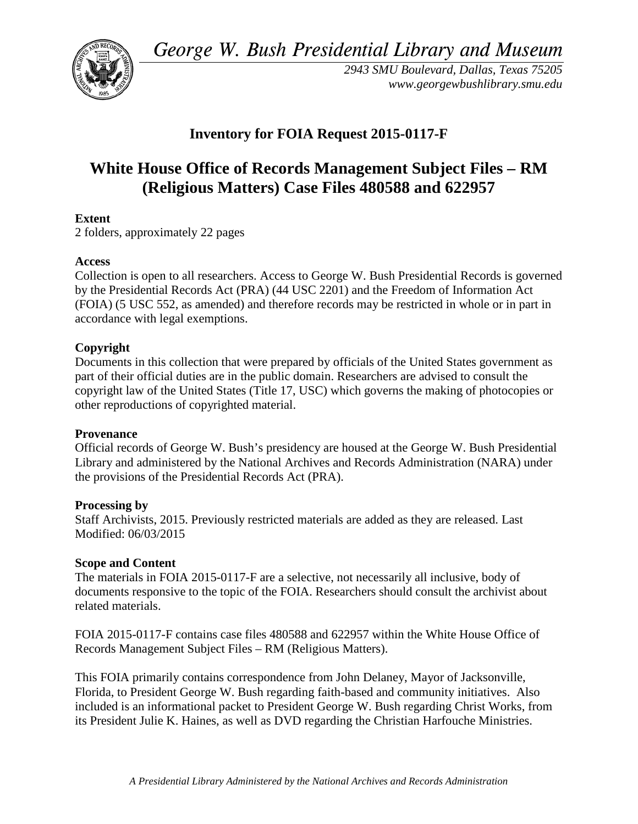*George W. Bush Presidential Library and Museum* 



*2943 SMU Boulevard, Dallas, Texas 75205 <www.georgewbushlibrary.smu.edu>*

# **Inventory for FOIA Request 2015-0117-F**

# **White House Office of Records Management Subject Files – RM (Religious Matters) Case Files 480588 and 622957**

## **Extent**

2 folders, approximately 22 pages

## **Access**

 by the Presidential Records Act (PRA) (44 USC 2201) and the Freedom of Information Act (FOIA) (5 USC 552, as amended) and therefore records may be restricted in whole or in part in Collection is open to all researchers. Access to George W. Bush Presidential Records is governed accordance with legal exemptions.

#### **Copyright**

 Documents in this collection that were prepared by officials of the United States government as part of their official duties are in the public domain. Researchers are advised to consult the copyright law of the United States (Title 17, USC) which governs the making of photocopies or other reproductions of copyrighted material.

#### **Provenance**

 Official records of George W. Bush's presidency are housed at the George W. Bush Presidential Library and administered by the National Archives and Records Administration (NARA) under the provisions of the Presidential Records Act (PRA).

#### **Processing by**

 Staff Archivists, 2015. Previously restricted materials are added as they are released. Last Modified: 06/03/2015

#### **Scope and Content**

The materials in FOIA 2015-0117-F are a selective, not necessarily all inclusive, body of documents responsive to the topic of the FOIA. Researchers should consult the archivist about related materials.

FOIA 2015-0117-F contains case files 480588 and 622957 within the White House Office of Records Management Subject Files – RM (Religious Matters).

This FOIA primarily contains correspondence from John Delaney, Mayor of Jacksonville, Florida, to President George W. Bush regarding faith-based and community initiatives. Also included is an informational packet to President George W. Bush regarding Christ Works, from its President Julie K. Haines, as well as DVD regarding the Christian Harfouche Ministries.